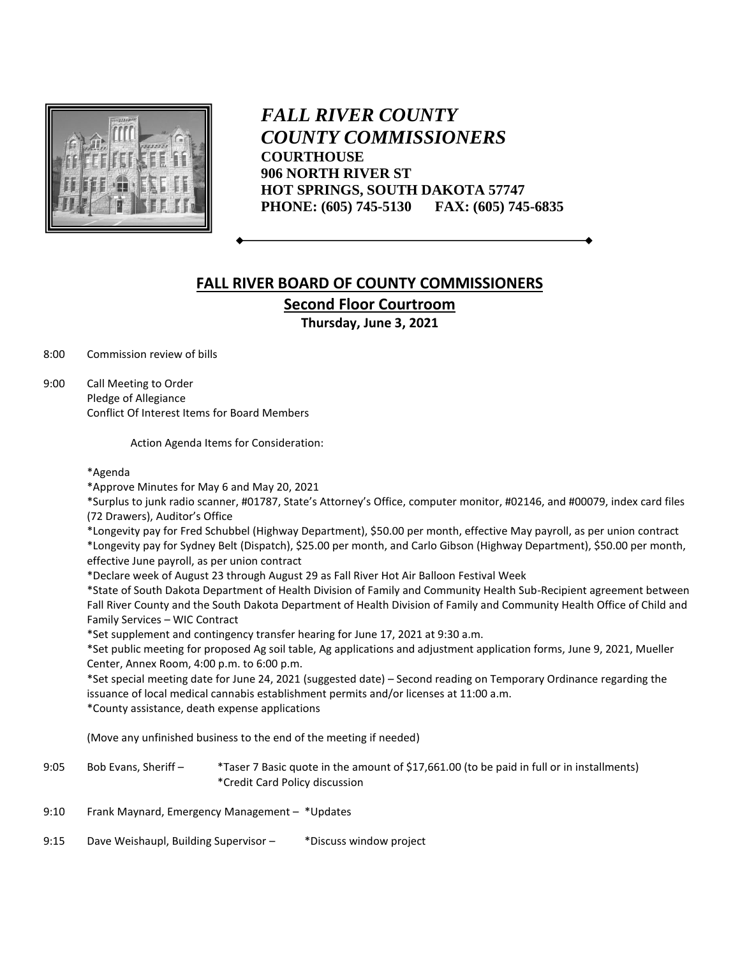

*FALL RIVER COUNTY COUNTY COMMISSIONERS* **COURTHOUSE 906 NORTH RIVER ST HOT SPRINGS, SOUTH DAKOTA 57747 PHONE: (605) 745-5130 FAX: (605) 745-6835**

## **FALL RIVER BOARD OF COUNTY COMMISSIONERS Second Floor Courtroom**

**Thursday, June 3, 2021**

8:00 Commission review of bills

9:00 Call Meeting to Order Pledge of Allegiance Conflict Of Interest Items for Board Members

Action Agenda Items for Consideration:

## \*Agenda

\*Approve Minutes for May 6 and May 20, 2021

\*Surplus to junk radio scanner, #01787, State's Attorney's Office, computer monitor, #02146, and #00079, index card files (72 Drawers), Auditor's Office

\*Longevity pay for Fred Schubbel (Highway Department), \$50.00 per month, effective May payroll, as per union contract

\*Longevity pay for Sydney Belt (Dispatch), \$25.00 per month, and Carlo Gibson (Highway Department), \$50.00 per month, effective June payroll, as per union contract

\*Declare week of August 23 through August 29 as Fall River Hot Air Balloon Festival Week

\*State of South Dakota Department of Health Division of Family and Community Health Sub-Recipient agreement between Fall River County and the South Dakota Department of Health Division of Family and Community Health Office of Child and Family Services – WIC Contract

\*Set supplement and contingency transfer hearing for June 17, 2021 at 9:30 a.m.

\*Set public meeting for proposed Ag soil table, Ag applications and adjustment application forms, June 9, 2021, Mueller Center, Annex Room, 4:00 p.m. to 6:00 p.m.

\*Set special meeting date for June 24, 2021 (suggested date) – Second reading on Temporary Ordinance regarding the issuance of local medical cannabis establishment permits and/or licenses at 11:00 a.m.

\*County assistance, death expense applications

(Move any unfinished business to the end of the meeting if needed)

- 9:05 Bob Evans, Sheriff \*Taser 7 Basic quote in the amount of \$17,661.00 (to be paid in full or in installments) \*Credit Card Policy discussion
- 9:10 Frank Maynard, Emergency Management \*Updates
- 9:15 Dave Weishaupl, Building Supervisor \* \* Discuss window project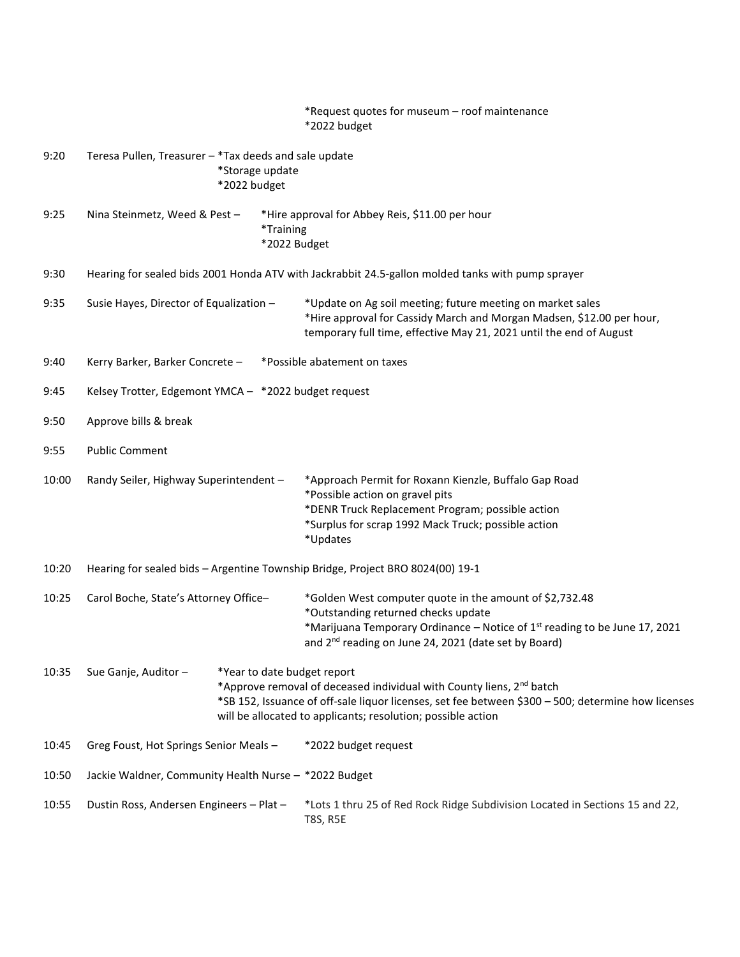|       |                                                                                                   |  | *Request quotes for museum - roof maintenance<br>*2022 budget                                                                                                                                                                                                |
|-------|---------------------------------------------------------------------------------------------------|--|--------------------------------------------------------------------------------------------------------------------------------------------------------------------------------------------------------------------------------------------------------------|
| 9:20  | Teresa Pullen, Treasurer - *Tax deeds and sale update<br>*Storage update<br>*2022 budget          |  |                                                                                                                                                                                                                                                              |
| 9:25  | Nina Steinmetz, Weed & Pest-<br>*Training<br>*2022 Budget                                         |  | *Hire approval for Abbey Reis, \$11.00 per hour                                                                                                                                                                                                              |
| 9:30  | Hearing for sealed bids 2001 Honda ATV with Jackrabbit 24.5-gallon molded tanks with pump sprayer |  |                                                                                                                                                                                                                                                              |
| 9:35  | Susie Hayes, Director of Equalization -                                                           |  | *Update on Ag soil meeting; future meeting on market sales<br>*Hire approval for Cassidy March and Morgan Madsen, \$12.00 per hour,<br>temporary full time, effective May 21, 2021 until the end of August                                                   |
| 9:40  | Kerry Barker, Barker Concrete -<br>*Possible abatement on taxes                                   |  |                                                                                                                                                                                                                                                              |
| 9:45  | Kelsey Trotter, Edgemont YMCA - *2022 budget request                                              |  |                                                                                                                                                                                                                                                              |
| 9:50  | Approve bills & break                                                                             |  |                                                                                                                                                                                                                                                              |
| 9:55  | <b>Public Comment</b>                                                                             |  |                                                                                                                                                                                                                                                              |
| 10:00 | Randy Seiler, Highway Superintendent -                                                            |  | *Approach Permit for Roxann Kienzle, Buffalo Gap Road<br>*Possible action on gravel pits<br>*DENR Truck Replacement Program; possible action<br>*Surplus for scrap 1992 Mack Truck; possible action<br>*Updates                                              |
| 10:20 | Hearing for sealed bids - Argentine Township Bridge, Project BRO 8024(00) 19-1                    |  |                                                                                                                                                                                                                                                              |
| 10:25 | Carol Boche, State's Attorney Office-                                                             |  | *Golden West computer quote in the amount of \$2,732.48<br>*Outstanding returned checks update<br>*Marijuana Temporary Ordinance - Notice of 1 <sup>st</sup> reading to be June 17, 2021<br>and 2 <sup>nd</sup> reading on June 24, 2021 (date set by Board) |
| 10:35 | Sue Ganje, Auditor-<br>*Year to date budget report                                                |  | *Approve removal of deceased individual with County liens, 2 <sup>nd</sup> batch<br>*SB 152, Issuance of off-sale liquor licenses, set fee between \$300 - 500; determine how licenses<br>will be allocated to applicants; resolution; possible action       |
| 10:45 | Greg Foust, Hot Springs Senior Meals -                                                            |  | *2022 budget request                                                                                                                                                                                                                                         |
| 10:50 | Jackie Waldner, Community Health Nurse - *2022 Budget                                             |  |                                                                                                                                                                                                                                                              |
| 10:55 | Dustin Ross, Andersen Engineers - Plat -                                                          |  | *Lots 1 thru 25 of Red Rock Ridge Subdivision Located in Sections 15 and 22,<br><b>T8S, R5E</b>                                                                                                                                                              |